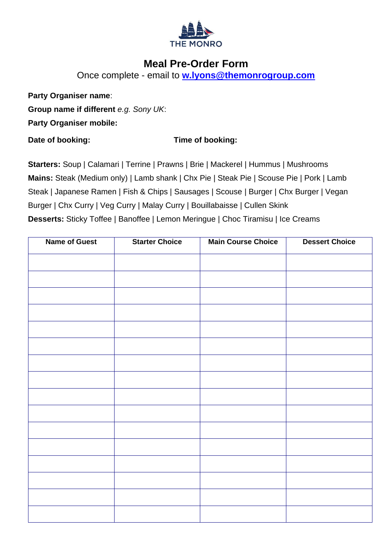

## **Meal Pre-Order Form**

Once complete - email to **[w.lyons@themonrogroup.com](mailto:w.lyons@themonrogroup.com)**

**Party Organiser name**:

**Group name if different** *e.g. Sony UK*:

**Party Organiser mobile:**

## **Date of booking: Time of booking:**

**Starters:** Soup | Calamari | Terrine | Prawns | Brie | Mackerel | Hummus | Mushrooms **Mains:** Steak (Medium only) | Lamb shank | Chx Pie | Steak Pie | Scouse Pie | Pork | Lamb Steak | Japanese Ramen | Fish & Chips | Sausages | Scouse | Burger | Chx Burger | Vegan Burger | Chx Curry | Veg Curry | Malay Curry | Bouillabaisse | Cullen Skink **Desserts:** Sticky Toffee | Banoffee | Lemon Meringue | Choc Tiramisu | Ice Creams

| <b>Name of Guest</b> | <b>Starter Choice</b> | <b>Main Course Choice</b> | <b>Dessert Choice</b> |
|----------------------|-----------------------|---------------------------|-----------------------|
|                      |                       |                           |                       |
|                      |                       |                           |                       |
|                      |                       |                           |                       |
|                      |                       |                           |                       |
|                      |                       |                           |                       |
|                      |                       |                           |                       |
|                      |                       |                           |                       |
|                      |                       |                           |                       |
|                      |                       |                           |                       |
|                      |                       |                           |                       |
|                      |                       |                           |                       |
|                      |                       |                           |                       |
|                      |                       |                           |                       |
|                      |                       |                           |                       |
|                      |                       |                           |                       |
|                      |                       |                           |                       |